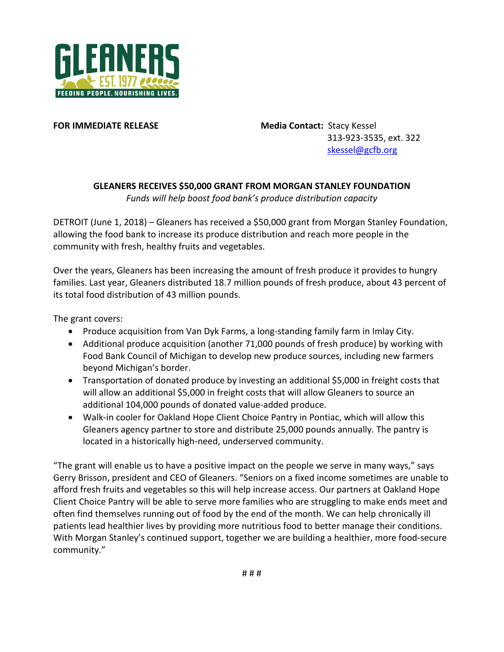

**FOR IMMEDIATE RELEASE Media Contact:** Stacy Kessel 313-923-3535, ext. 322 [skessel@gcfb.org](mailto:skessel@gcfb.org)

## **GLEANERS RECEIVES \$50,000 GRANT FROM MORGAN STANLEY FOUNDATION**

*Funds will help boost food bank's produce distribution capacity*

DETROIT (June 1, 2018) – Gleaners has received a \$50,000 grant from Morgan Stanley Foundation, allowing the food bank to increase its produce distribution and reach more people in the community with fresh, healthy fruits and vegetables.

Over the years, Gleaners has been increasing the amount of fresh produce it provides to hungry families. Last year, Gleaners distributed 18.7 million pounds of fresh produce, about 43 percent of its total food distribution of 43 million pounds.

The grant covers:

- Produce acquisition from Van Dyk Farms, a long-standing family farm in Imlay City.
- Additional produce acquisition (another 71,000 pounds of fresh produce) by working with Food Bank Council of Michigan to develop new produce sources, including new farmers beyond Michigan's border.
- Transportation of donated produce by investing an additional \$5,000 in freight costs that will allow an additional \$5,000 in freight costs that will allow Gleaners to source an additional 104,000 pounds of donated value-added produce.
- Walk-in cooler for Oakland Hope Client Choice Pantry in Pontiac, which will allow this Gleaners agency partner to store and distribute 25,000 pounds annually. The pantry is located in a historically high-need, underserved community.

"The grant will enable us to have a positive impact on the people we serve in many ways," says Gerry Brisson, president and CEO of Gleaners. "Seniors on a fixed income sometimes are unable to afford fresh fruits and vegetables so this will help increase access. Our partners at Oakland Hope Client Choice Pantry will be able to serve more families who are struggling to make ends meet and often find themselves running out of food by the end of the month. We can help chronically ill patients lead healthier lives by providing more nutritious food to better manage their conditions. With Morgan Stanley's continued support, together we are building a healthier, more food-secure community."